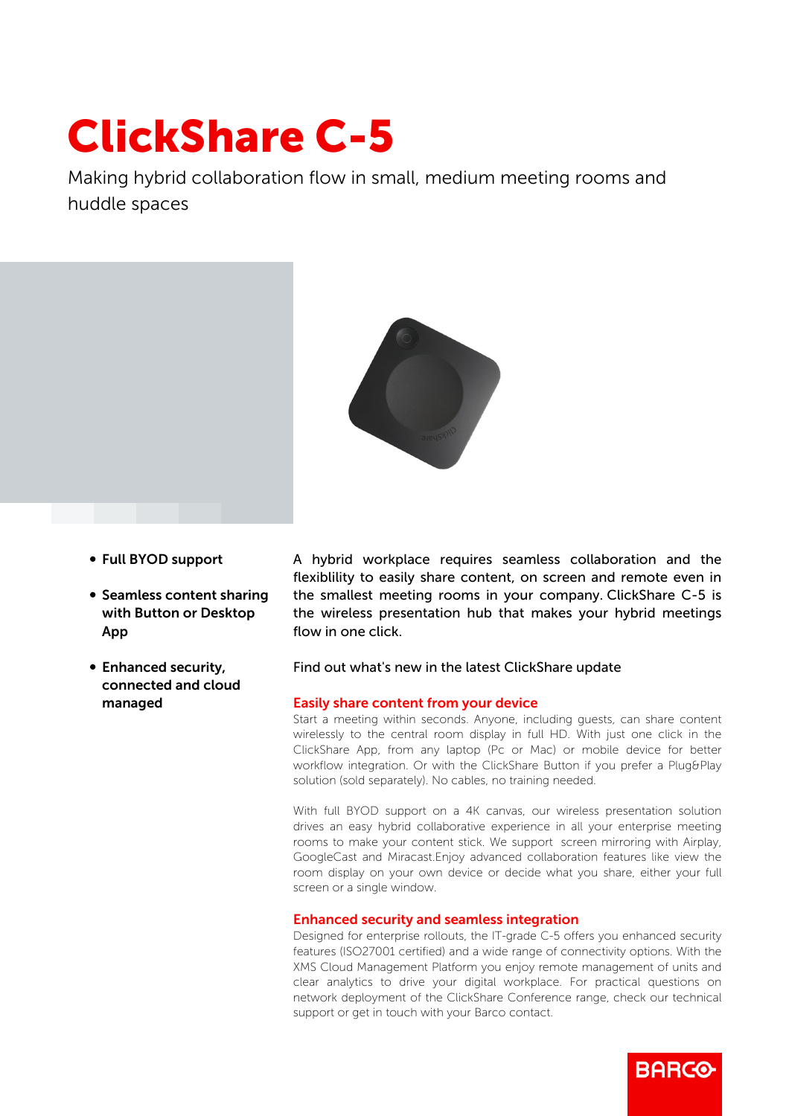# ClickShare C-5

Making hybrid collaboration flow in small, medium meeting rooms and huddle spaces



- b Full BYOD support
- Seamless content sharing with Button or Desktop App
- Enhanced security, connected and cloud managed

A hybrid workplace requires seamless collaboration and the flexiblility to easily share content, on screen and remote even in the smallest meeting rooms in your company. ClickShare C-5 is the wireless presentation hub that makes your hybrid meetings flow in one click.

## Find out what's new in the latest ClickShare update

#### Easily share content from your device

Start a meeting within seconds. Anyone, including guests, can share content wirelessly to the central room display in full HD. With just one click in the ClickShare App, from any laptop (Pc or Mac) or mobile device for better workflow integration. Or with the ClickShare Button if you prefer a Plug&Play solution (sold separately). No cables, no training needed.

With full BYOD support on a 4K canvas, our wireless presentation solution drives an easy hybrid collaborative experience in all your enterprise meeting rooms to make your content stick. We support screen mirroring with Airplay, GoogleCast and Miracast.Enjoy advanced collaboration features like view the room display on your own device or decide what you share, either your full screen or a single window.

### Enhanced security and seamless integration

Designed for enterprise rollouts, the IT-grade C-5 offers you enhanced security features (ISO27001 certified) and a wide range of connectivity options. With the XMS Cloud Management Platform you enjoy remote management of units and clear analytics to drive your digital workplace. For practical questions on network deployment of the ClickShare Conference range, check our technical support or get in touch with your Barco contact.

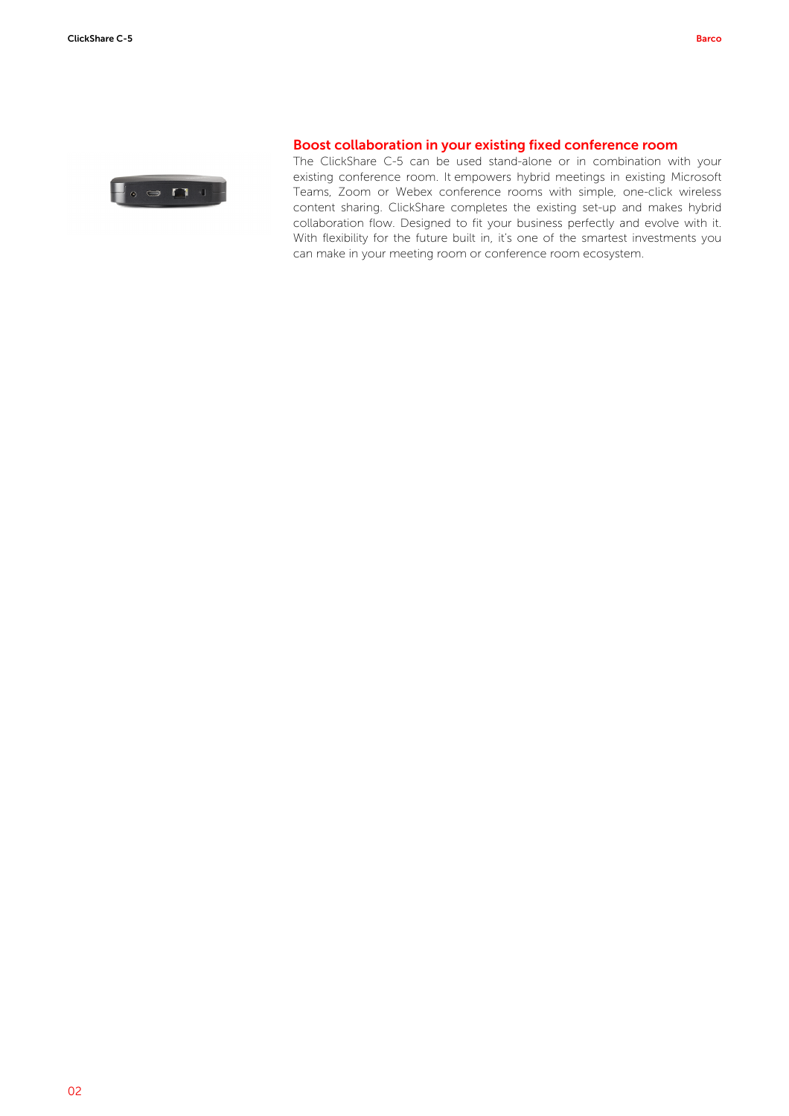

## Boost collaboration in your existing fixed conference room

The ClickShare C-5 can be used stand-alone or in combination with your existing conference room. It empowers hybrid meetings in existing Microsoft Teams, Zoom or Webex conference rooms with simple, one-click wireless content sharing. ClickShare completes the existing set-up and makes hybrid collaboration flow. Designed to fit your business perfectly and evolve with it. With flexibility for the future built in, it's one of the smartest investments you can make in your meeting room or conference room ecosystem.